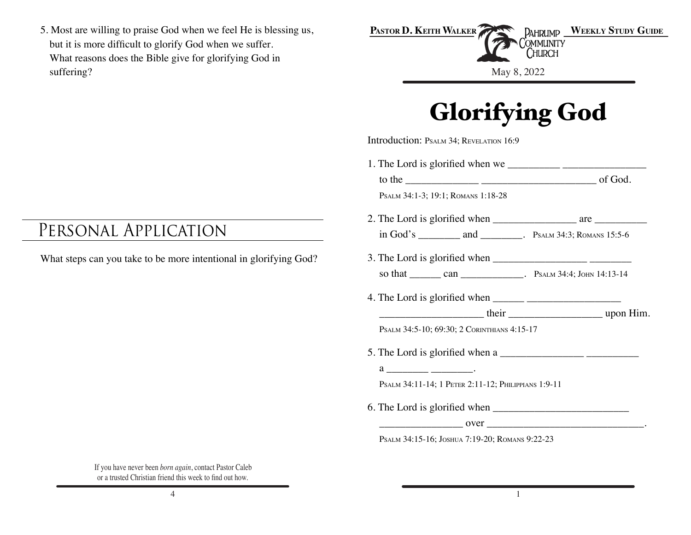5. Most are willing to praise God when we feel He is blessing us, but it is more difficult to glorify God when we suffer. What reasons does the Bible give for glorifying God in suffering?

## Personal Application

What steps can you take to be more intentional in glorifying God?

| PASTOR D. KEITH WALKER PARK PAHRUMP WEEKLY STUDY GUIDE |  |
|--------------------------------------------------------|--|
| <b>THE IM COMMUNITY</b><br><b>CHURCH</b>               |  |
|                                                        |  |
| May 8, 2022                                            |  |

## **Glorifying God**

Introduction: PSALM 34; REVELATION 16:9

| PSALM 34:1-3; 19:1; ROMANS 1:18-28                                                                                                                                                                                                                                                                                                                                                                                         |
|----------------------------------------------------------------------------------------------------------------------------------------------------------------------------------------------------------------------------------------------------------------------------------------------------------------------------------------------------------------------------------------------------------------------------|
|                                                                                                                                                                                                                                                                                                                                                                                                                            |
|                                                                                                                                                                                                                                                                                                                                                                                                                            |
|                                                                                                                                                                                                                                                                                                                                                                                                                            |
|                                                                                                                                                                                                                                                                                                                                                                                                                            |
| 4. The Lord is glorified when $\frac{1}{\frac{1}{2} \cdot \frac{1}{2} \cdot \frac{1}{2} \cdot \frac{1}{2} \cdot \frac{1}{2} \cdot \frac{1}{2} \cdot \frac{1}{2} \cdot \frac{1}{2} \cdot \frac{1}{2} \cdot \frac{1}{2} \cdot \frac{1}{2} \cdot \frac{1}{2} \cdot \frac{1}{2} \cdot \frac{1}{2} \cdot \frac{1}{2} \cdot \frac{1}{2} \cdot \frac{1}{2} \cdot \frac{1}{2} \cdot \frac{1}{2} \cdot \frac{1}{2} \cdot \frac{1}{$ |
|                                                                                                                                                                                                                                                                                                                                                                                                                            |
| PSALM 34:5-10; 69:30; 2 CORINTHIANS 4:15-17                                                                                                                                                                                                                                                                                                                                                                                |
| 5. The Lord is glorified when a                                                                                                                                                                                                                                                                                                                                                                                            |
| $a \overline{\phantom{a}}$                                                                                                                                                                                                                                                                                                                                                                                                 |
| PSALM 34:11-14; 1 PETER 2:11-12; PHILIPPIANS 1:9-11                                                                                                                                                                                                                                                                                                                                                                        |
|                                                                                                                                                                                                                                                                                                                                                                                                                            |
| $\overline{\text{over}}$ $\overline{\text{over}}$ $\overline{\text{over}}$ $\overline{\text{over}}$ $\overline{\text{over}}$                                                                                                                                                                                                                                                                                               |
| PSALM 34:15-16; JOSHUA 7:19-20; ROMANS 9:22-23                                                                                                                                                                                                                                                                                                                                                                             |

If you have never been *born again*, contact Pastor Caleb or a trusted Christian friend this week to find out how.